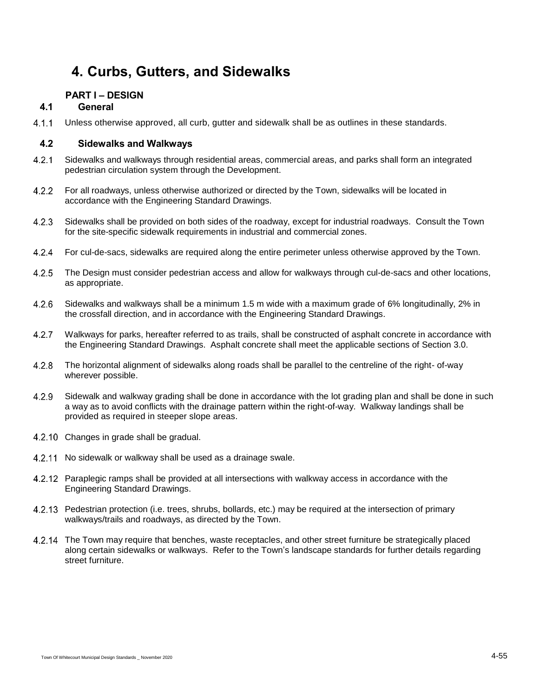# **4. Curbs, Gutters, and Sidewalks**

# **PART I – DESIGN**

# **4.1 General**

 $4.1.1$ Unless otherwise approved, all curb, gutter and sidewalk shall be as outlines in these standards.

# **4.2 Sidewalks and Walkways**

- $4.2.1$ Sidewalks and walkways through residential areas, commercial areas, and parks shall form an integrated pedestrian circulation system through the Development.
- $4.2.2$ For all roadways, unless otherwise authorized or directed by the Town, sidewalks will be located in accordance with the Engineering Standard Drawings.
- Sidewalks shall be provided on both sides of the roadway, except for industrial roadways. Consult the Town  $4.2.3$ for the site-specific sidewalk requirements in industrial and commercial zones.
- $4.2.4$ For cul-de-sacs, sidewalks are required along the entire perimeter unless otherwise approved by the Town.
- $4.2.5$ The Design must consider pedestrian access and allow for walkways through cul-de-sacs and other locations, as appropriate.
- $4.2.6$ Sidewalks and walkways shall be a minimum 1.5 m wide with a maximum grade of 6% longitudinally, 2% in the crossfall direction, and in accordance with the Engineering Standard Drawings.
- $4.2.7$ Walkways for parks, hereafter referred to as trails, shall be constructed of asphalt concrete in accordance with the Engineering Standard Drawings. Asphalt concrete shall meet the applicable sections of Section 3.0.
- $4.2.8$ The horizontal alignment of sidewalks along roads shall be parallel to the centreline of the right- of-way wherever possible.
- 4.2.9 Sidewalk and walkway grading shall be done in accordance with the lot grading plan and shall be done in such a way as to avoid conflicts with the drainage pattern within the right-of-way. Walkway landings shall be provided as required in steeper slope areas.
- 4.2.10 Changes in grade shall be gradual.
- 4.2.11 No sidewalk or walkway shall be used as a drainage swale.
- 4.2.12 Paraplegic ramps shall be provided at all intersections with walkway access in accordance with the Engineering Standard Drawings.
- 4.2.13 Pedestrian protection (i.e. trees, shrubs, bollards, etc.) may be required at the intersection of primary walkways/trails and roadways, as directed by the Town.
- 4.2.14 The Town may require that benches, waste receptacles, and other street furniture be strategically placed along certain sidewalks or walkways. Refer to the Town's landscape standards for further details regarding street furniture.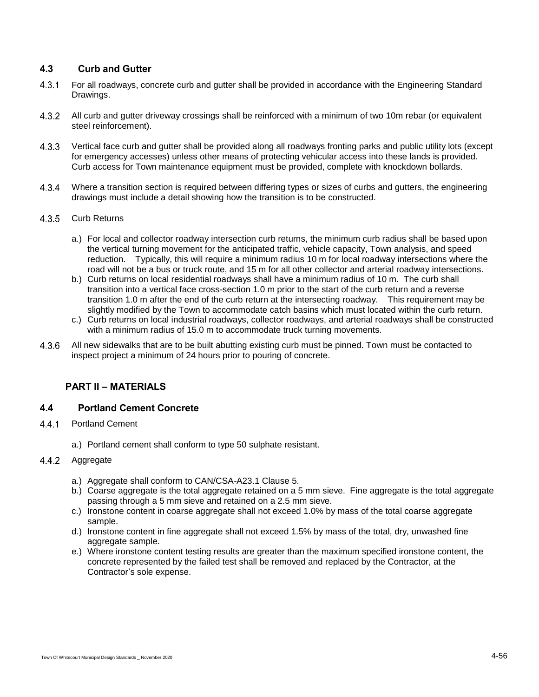# **4.3 Curb and Gutter**

- $4.3.1$ For all roadways, concrete curb and gutter shall be provided in accordance with the Engineering Standard Drawings.
- $4.3.2$ All curb and gutter driveway crossings shall be reinforced with a minimum of two 10m rebar (or equivalent steel reinforcement).
- $4.3.3$ Vertical face curb and gutter shall be provided along all roadways fronting parks and public utility lots (except for emergency accesses) unless other means of protecting vehicular access into these lands is provided. Curb access for Town maintenance equipment must be provided, complete with knockdown bollards.
- $4.3.4$ Where a transition section is required between differing types or sizes of curbs and gutters, the engineering drawings must include a detail showing how the transition is to be constructed.
- $4.3.5$ Curb Returns
	- a.) For local and collector roadway intersection curb returns, the minimum curb radius shall be based upon the vertical turning movement for the anticipated traffic, vehicle capacity, Town analysis, and speed reduction. Typically, this will require a minimum radius 10 m for local roadway intersections where the road will not be a bus or truck route, and 15 m for all other collector and arterial roadway intersections.
	- b.) Curb returns on local residential roadways shall have a minimum radius of 10 m. The curb shall transition into a vertical face cross-section 1.0 m prior to the start of the curb return and a reverse transition 1.0 m after the end of the curb return at the intersecting roadway. This requirement may be slightly modified by the Town to accommodate catch basins which must located within the curb return.
	- c.) Curb returns on local industrial roadways, collector roadways, and arterial roadways shall be constructed with a minimum radius of 15.0 m to accommodate truck turning movements.
- 4.3.6 All new sidewalks that are to be built abutting existing curb must be pinned. Town must be contacted to inspect project a minimum of 24 hours prior to pouring of concrete.

# **PART II – MATERIALS**

### **4.4 Portland Cement Concrete**

- 441 Portland Cement
	- a.) Portland cement shall conform to type 50 sulphate resistant.

#### $4.4.2$ Aggregate

- a.) Aggregate shall conform to CAN/CSA-A23.1 Clause 5.
- b.) Coarse aggregate is the total aggregate retained on a 5 mm sieve. Fine aggregate is the total aggregate passing through a 5 mm sieve and retained on a 2.5 mm sieve.
- c.) Ironstone content in coarse aggregate shall not exceed 1.0% by mass of the total coarse aggregate sample.
- d.) Ironstone content in fine aggregate shall not exceed 1.5% by mass of the total, dry, unwashed fine aggregate sample.
- e.) Where ironstone content testing results are greater than the maximum specified ironstone content, the concrete represented by the failed test shall be removed and replaced by the Contractor, at the Contractor's sole expense.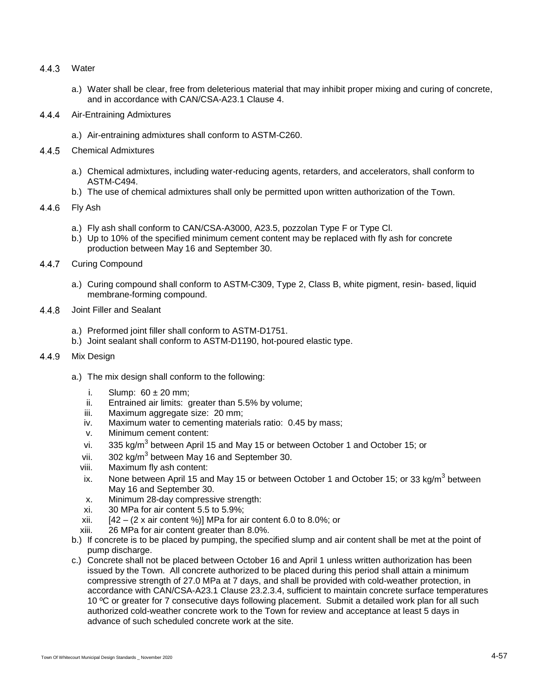- 4.4.3 Water
	- a.) Water shall be clear, free from deleterious material that may inhibit proper mixing and curing of concrete, and in accordance with CAN/CSA-A23.1 Clause 4.
- $4.4.4$ Air-Entraining Admixtures
	- a.) Air-entraining admixtures shall conform to ASTM-C260.
- 4.4.5 Chemical Admixtures
	- a.) Chemical admixtures, including water-reducing agents, retarders, and accelerators, shall conform to ASTM-C494.
	- b.) The use of chemical admixtures shall only be permitted upon written authorization of the Town.
- $4.4.6$ Fly Ash
	- a.) Fly ash shall conform to CAN/CSA-A3000, A23.5, pozzolan Type F or Type Cl.
	- b.) Up to 10% of the specified minimum cement content may be replaced with fly ash for concrete production between May 16 and September 30.
- $4.4.7$ Curing Compound
	- a.) Curing compound shall conform to ASTM-C309, Type 2, Class B, white pigment, resin- based, liquid membrane-forming compound.
- 4.4.8 Joint Filler and Sealant
	- a.) Preformed joint filler shall conform to ASTM-D1751.
	- b.) Joint sealant shall conform to ASTM-D1190, hot-poured elastic type.
- Mix Design 4.4.9
	- a.) The mix design shall conform to the following:
		- i. Slump:  $60 \pm 20$  mm;
		- ii. Entrained air limits: greater than 5.5% by volume;
		- iii. Maximum aggregate size: 20 mm;
		- iv. Maximum water to cementing materials ratio: 0.45 by mass;
		- v. Minimum cement content:
		- vi. 335 kg/m<sup>3</sup> between April 15 and May 15 or between October 1 and October 15; or
		- vii. 302 kg/m<sup>3</sup> between May 16 and September 30.
		- viii. Maximum fly ash content:
		- ix. None between April 15 and May 15 or between October 1 and October 15; or 33 kg/m<sup>3</sup> between May 16 and September 30.
		- x. Minimum 28-day compressive strength:
		- xi. 30 MPa for air content 5.5 to 5.9%;
		- xii.  $[42 (2 \times \text{air content } \%)] MPa$  for air content 6.0 to 8.0%; or
		- xiii. 26 MPa for air content greater than 8.0%.
	- b.) If concrete is to be placed by pumping, the specified slump and air content shall be met at the point of pump discharge.
	- c.) Concrete shall not be placed between October 16 and April 1 unless written authorization has been issued by the Town. All concrete authorized to be placed during this period shall attain a minimum compressive strength of 27.0 MPa at 7 days, and shall be provided with cold-weather protection, in accordance with CAN/CSA-A23.1 Clause 23.2.3.4, sufficient to maintain concrete surface temperatures 10 ºC or greater for 7 consecutive days following placement. Submit a detailed work plan for all such authorized cold-weather concrete work to the Town for review and acceptance at least 5 days in advance of such scheduled concrete work at the site.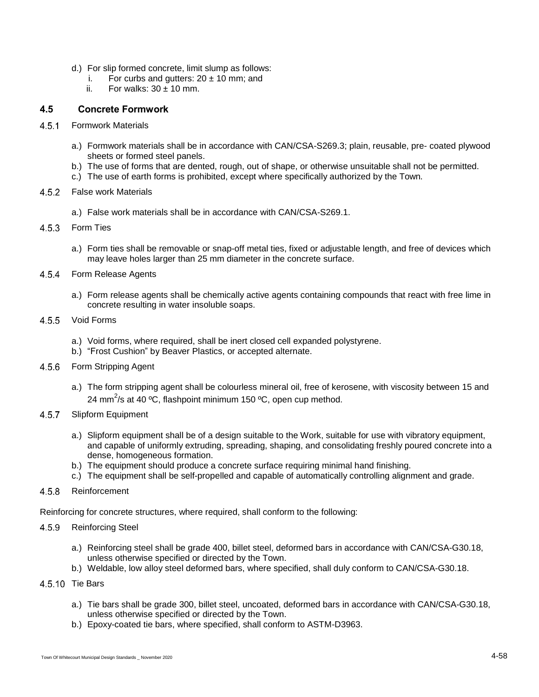- d.) For slip formed concrete, limit slump as follows:
	- i. For curbs and gutters:  $20 \pm 10$  mm; and
	- ii. For walks:  $30 \pm 10$  mm.

# **4.5 Concrete Formwork**

- $4.5.1$ Formwork Materials
	- a.) Formwork materials shall be in accordance with CAN/CSA-S269.3; plain, reusable, pre- coated plywood sheets or formed steel panels.
	- b.) The use of forms that are dented, rough, out of shape, or otherwise unsuitable shall not be permitted.
	- c.) The use of earth forms is prohibited, except where specifically authorized by the Town.
- 4.5.2 False work Materials
	- a.) False work materials shall be in accordance with CAN/CSA-S269.1.
- $4.5.3$ Form Ties
	- a.) Form ties shall be removable or snap-off metal ties, fixed or adjustable length, and free of devices which may leave holes larger than 25 mm diameter in the concrete surface.
- $4.5.4$ Form Release Agents
	- a.) Form release agents shall be chemically active agents containing compounds that react with free lime in concrete resulting in water insoluble soaps.
- $4.5.5$ Void Forms
	- a.) Void forms, where required, shall be inert closed cell expanded polystyrene.
	- b.) "Frost Cushion" by Beaver Plastics, or accepted alternate.
- 4.5.6 Form Stripping Agent
	- a.) The form stripping agent shall be colourless mineral oil, free of kerosene, with viscosity between 15 and 24 mm<sup>2</sup>/s at 40 °C, flashpoint minimum 150 °C, open cup method.
- 4.5.7 Slipform Equipment
	- a.) Slipform equipment shall be of a design suitable to the Work, suitable for use with vibratory equipment, and capable of uniformly extruding, spreading, shaping, and consolidating freshly poured concrete into a dense, homogeneous formation.
	- b.) The equipment should produce a concrete surface requiring minimal hand finishing.
	- c.) The equipment shall be self-propelled and capable of automatically controlling alignment and grade.
- $4.5.8$ Reinforcement

Reinforcing for concrete structures, where required, shall conform to the following:

#### $4.5.9$ Reinforcing Steel

- a.) Reinforcing steel shall be grade 400, billet steel, deformed bars in accordance with CAN/CSA-G30.18, unless otherwise specified or directed by the Town.
- b.) Weldable, low alloy steel deformed bars, where specified, shall duly conform to CAN/CSA-G30.18.
- 4.5.10 Tie Bars
	- a.) Tie bars shall be grade 300, billet steel, uncoated, deformed bars in accordance with CAN/CSA-G30.18, unless otherwise specified or directed by the Town.
	- b.) Epoxy-coated tie bars, where specified, shall conform to ASTM-D3963.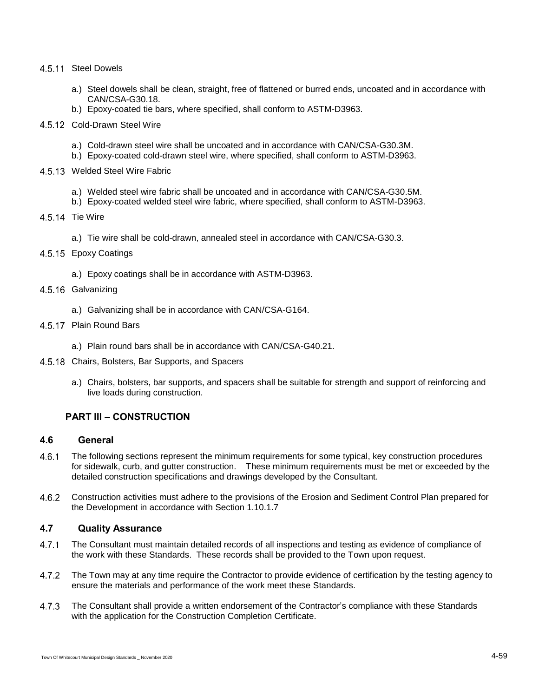#### 4.5.11 Steel Dowels

- a.) Steel dowels shall be clean, straight, free of flattened or burred ends, uncoated and in accordance with CAN/CSA-G30.18.
- b.) Epoxy-coated tie bars, where specified, shall conform to ASTM-D3963.
- 4.5.12 Cold-Drawn Steel Wire
	- a.) Cold-drawn steel wire shall be uncoated and in accordance with CAN/CSA-G30.3M.
	- b.) Epoxy-coated cold-drawn steel wire, where specified, shall conform to ASTM-D3963.
- 4.5.13 Welded Steel Wire Fabric
	- a.) Welded steel wire fabric shall be uncoated and in accordance with CAN/CSA-G30.5M.
	- b.) Epoxy-coated welded steel wire fabric, where specified, shall conform to ASTM-D3963.
- 4.5.14 Tie Wire
	- a.) Tie wire shall be cold-drawn, annealed steel in accordance with CAN/CSA-G30.3.
- 4.5.15 Epoxy Coatings
	- a.) Epoxy coatings shall be in accordance with ASTM-D3963.
- 4.5.16 Galvanizing
	- a.) Galvanizing shall be in accordance with CAN/CSA-G164.
- 4.5.17 Plain Round Bars
	- a.) Plain round bars shall be in accordance with CAN/CSA-G40.21.
- 4.5.18 Chairs, Bolsters, Bar Supports, and Spacers
	- a.) Chairs, bolsters, bar supports, and spacers shall be suitable for strength and support of reinforcing and live loads during construction.

# **PART III – CONSTRUCTION**

#### **4.6 General**

- 4.6.1 The following sections represent the minimum requirements for some typical, key construction procedures for sidewalk, curb, and gutter construction. These minimum requirements must be met or exceeded by the detailed construction specifications and drawings developed by the Consultant.
- 4.6.2 Construction activities must adhere to the provisions of the Erosion and Sediment Control Plan prepared for the Development in accordance with Section 1.10.1.7

# **4.7 Quality Assurance**

- $4.7.1$ The Consultant must maintain detailed records of all inspections and testing as evidence of compliance of the work with these Standards. These records shall be provided to the Town upon request.
- $4.7.2$ The Town may at any time require the Contractor to provide evidence of certification by the testing agency to ensure the materials and performance of the work meet these Standards.
- $4.7.3$ The Consultant shall provide a written endorsement of the Contractor's compliance with these Standards with the application for the Construction Completion Certificate.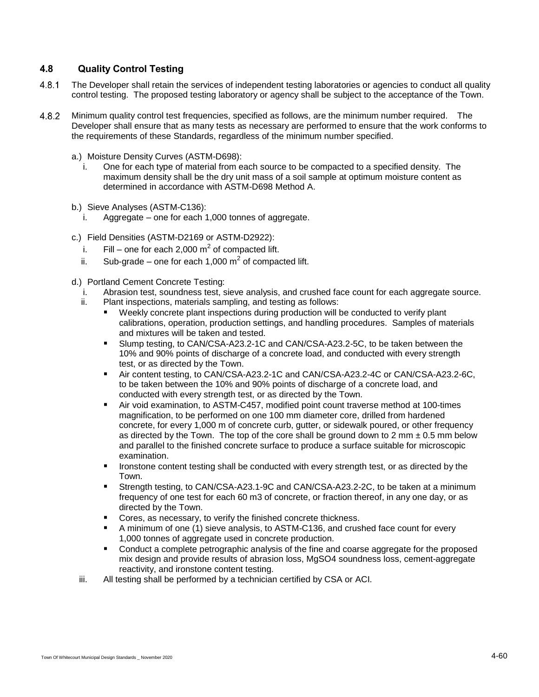# **4.8 Quality Control Testing**

- $4.8.1$ The Developer shall retain the services of independent testing laboratories or agencies to conduct all quality control testing. The proposed testing laboratory or agency shall be subject to the acceptance of the Town.
- $4.8.2$ Minimum quality control test frequencies, specified as follows, are the minimum number required. The Developer shall ensure that as many tests as necessary are performed to ensure that the work conforms to the requirements of these Standards, regardless of the minimum number specified.
	- a.) Moisture Density Curves (ASTM-D698):
		- i. One for each type of material from each source to be compacted to a specified density. The maximum density shall be the dry unit mass of a soil sample at optimum moisture content as determined in accordance with ASTM-D698 Method A.
	- b.) Sieve Analyses (ASTM-C136):
		- i. Aggregate one for each 1,000 tonnes of aggregate.
	- c.) Field Densities (ASTM-D2169 or ASTM-D2922):
		- i. Fill one for each 2,000  $m^2$  of compacted lift.
		- ii. Sub-grade one for each 1,000  $m^2$  of compacted lift.
	- d.) Portland Cement Concrete Testing:
		- i. Abrasion test, soundness test, sieve analysis, and crushed face count for each aggregate source.
		- ii. Plant inspections, materials sampling, and testing as follows:
			- Weekly concrete plant inspections during production will be conducted to verify plant calibrations, operation, production settings, and handling procedures. Samples of materials and mixtures will be taken and tested.
			- Slump testing, to CAN/CSA-A23.2-1C and CAN/CSA-A23.2-5C, to be taken between the 10% and 90% points of discharge of a concrete load, and conducted with every strength test, or as directed by the Town.
			- Air content testing, to CAN/CSA-A23.2-1C and CAN/CSA-A23.2-4C or CAN/CSA-A23.2-6C, to be taken between the 10% and 90% points of discharge of a concrete load, and conducted with every strength test, or as directed by the Town.
			- Air void examination, to ASTM-C457, modified point count traverse method at 100-times magnification, to be performed on one 100 mm diameter core, drilled from hardened concrete, for every 1,000 m of concrete curb, gutter, or sidewalk poured, or other frequency as directed by the Town. The top of the core shall be ground down to 2 mm  $\pm$  0.5 mm below and parallel to the finished concrete surface to produce a surface suitable for microscopic examination.
			- **IFOLUTE:** Ironstone content testing shall be conducted with every strength test, or as directed by the Town.
			- Strength testing, to CAN/CSA-A23.1-9C and CAN/CSA-A23.2-2C, to be taken at a minimum frequency of one test for each 60 m3 of concrete, or fraction thereof, in any one day, or as directed by the Town.
			- **Cores, as necessary, to verify the finished concrete thickness.**
			- A minimum of one (1) sieve analysis, to ASTM-C136, and crushed face count for every 1,000 tonnes of aggregate used in concrete production.
			- **Conduct a complete petrographic analysis of the fine and coarse aggregate for the proposed** mix design and provide results of abrasion loss, MgSO4 soundness loss, cement-aggregate reactivity, and ironstone content testing.
		- iii. All testing shall be performed by a technician certified by CSA or ACI.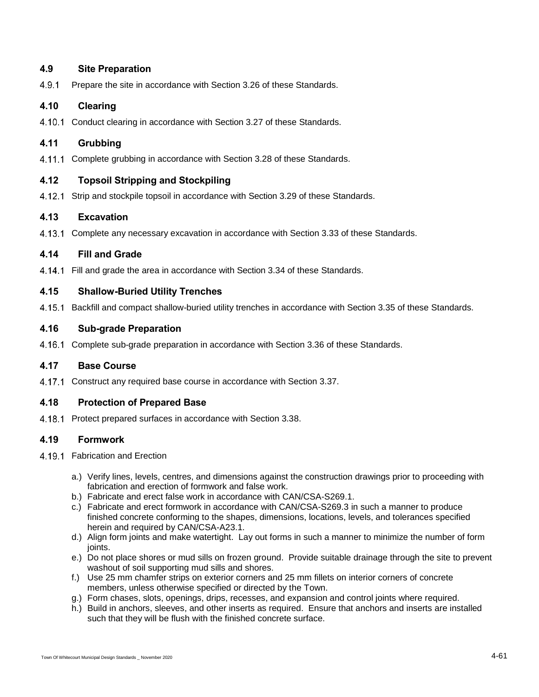# **4.9 Site Preparation**

4.9.1 Prepare the site in accordance with Section 3.26 of these Standards.

# **4.10 Clearing**

4.10.1 Conduct clearing in accordance with Section 3.27 of these Standards.

# **4.11 Grubbing**

4.11.1 Complete grubbing in accordance with Section 3.28 of these Standards.

# **4.12 Topsoil Stripping and Stockpiling**

4.12.1 Strip and stockpile topsoil in accordance with Section 3.29 of these Standards.

### **4.13 Excavation**

4.13.1 Complete any necessary excavation in accordance with Section 3.33 of these Standards.

# **4.14 Fill and Grade**

4.14.1 Fill and grade the area in accordance with Section 3.34 of these Standards.

### **4.15 Shallow-Buried Utility Trenches**

4.15.1 Backfill and compact shallow-buried utility trenches in accordance with Section 3.35 of these Standards.

# **4.16 Sub-grade Preparation**

4.16.1 Complete sub-grade preparation in accordance with Section 3.36 of these Standards.

### **4.17 Base Course**

4.17.1 Construct any required base course in accordance with Section 3.37.

### **4.18 Protection of Prepared Base**

4.18.1 Protect prepared surfaces in accordance with Section 3.38.

### **4.19 Formwork**

- 4.19.1 Fabrication and Erection
	- a.) Verify lines, levels, centres, and dimensions against the construction drawings prior to proceeding with fabrication and erection of formwork and false work.
	- b.) Fabricate and erect false work in accordance with CAN/CSA-S269.1.
	- c.) Fabricate and erect formwork in accordance with CAN/CSA-S269.3 in such a manner to produce finished concrete conforming to the shapes, dimensions, locations, levels, and tolerances specified herein and required by CAN/CSA-A23.1.
	- d.) Align form joints and make watertight. Lay out forms in such a manner to minimize the number of form ioints.
	- e.) Do not place shores or mud sills on frozen ground. Provide suitable drainage through the site to prevent washout of soil supporting mud sills and shores.
	- f.) Use 25 mm chamfer strips on exterior corners and 25 mm fillets on interior corners of concrete members, unless otherwise specified or directed by the Town.
	- g.) Form chases, slots, openings, drips, recesses, and expansion and control joints where required.
	- h.) Build in anchors, sleeves, and other inserts as required. Ensure that anchors and inserts are installed such that they will be flush with the finished concrete surface.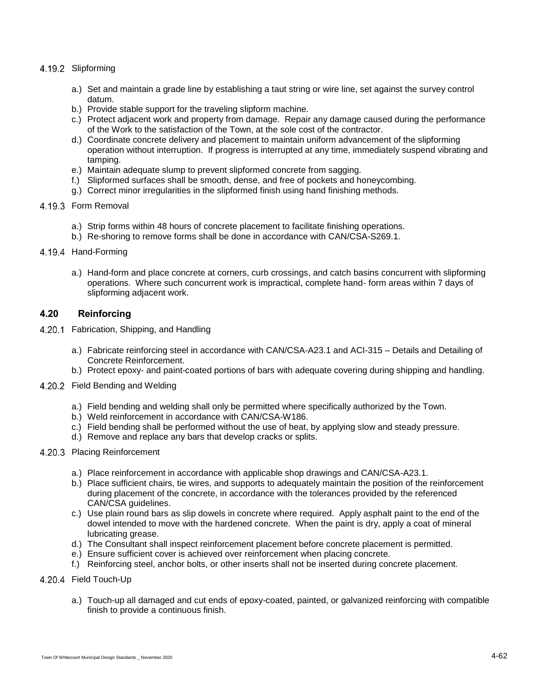#### 4.19.2 Slipforming

- a.) Set and maintain a grade line by establishing a taut string or wire line, set against the survey control datum.
- b.) Provide stable support for the traveling slipform machine.
- c.) Protect adjacent work and property from damage. Repair any damage caused during the performance of the Work to the satisfaction of the Town, at the sole cost of the contractor.
- d.) Coordinate concrete delivery and placement to maintain uniform advancement of the slipforming operation without interruption. If progress is interrupted at any time, immediately suspend vibrating and tamping.
- e.) Maintain adequate slump to prevent slipformed concrete from sagging.
- f.) Slipformed surfaces shall be smooth, dense, and free of pockets and honeycombing.
- g.) Correct minor irregularities in the slipformed finish using hand finishing methods.

#### 4.19.3 Form Removal

- a.) Strip forms within 48 hours of concrete placement to facilitate finishing operations.
- b.) Re-shoring to remove forms shall be done in accordance with CAN/CSA-S269.1.

#### 4.19.4 Hand-Forming

a.) Hand-form and place concrete at corners, curb crossings, and catch basins concurrent with slipforming operations. Where such concurrent work is impractical, complete hand- form areas within 7 days of slipforming adjacent work.

#### **4.20 Reinforcing**

- 4.20.1 Fabrication, Shipping, and Handling
	- a.) Fabricate reinforcing steel in accordance with CAN/CSA-A23.1 and ACI-315 Details and Detailing of Concrete Reinforcement.
	- b.) Protect epoxy- and paint-coated portions of bars with adequate covering during shipping and handling.
- 4.20.2 Field Bending and Welding
	- a.) Field bending and welding shall only be permitted where specifically authorized by the Town.
	- b.) Weld reinforcement in accordance with CAN/CSA-W186.
	- c.) Field bending shall be performed without the use of heat, by applying slow and steady pressure.
	- d.) Remove and replace any bars that develop cracks or splits.
- 4.20.3 Placing Reinforcement
	- a.) Place reinforcement in accordance with applicable shop drawings and CAN/CSA-A23.1.
	- b.) Place sufficient chairs, tie wires, and supports to adequately maintain the position of the reinforcement during placement of the concrete, in accordance with the tolerances provided by the referenced CAN/CSA guidelines.
	- c.) Use plain round bars as slip dowels in concrete where required. Apply asphalt paint to the end of the dowel intended to move with the hardened concrete. When the paint is dry, apply a coat of mineral lubricating grease.
	- d.) The Consultant shall inspect reinforcement placement before concrete placement is permitted.
	- e.) Ensure sufficient cover is achieved over reinforcement when placing concrete.
	- f.) Reinforcing steel, anchor bolts, or other inserts shall not be inserted during concrete placement.
- 4.20.4 Field Touch-Up
	- a.) Touch-up all damaged and cut ends of epoxy-coated, painted, or galvanized reinforcing with compatible finish to provide a continuous finish.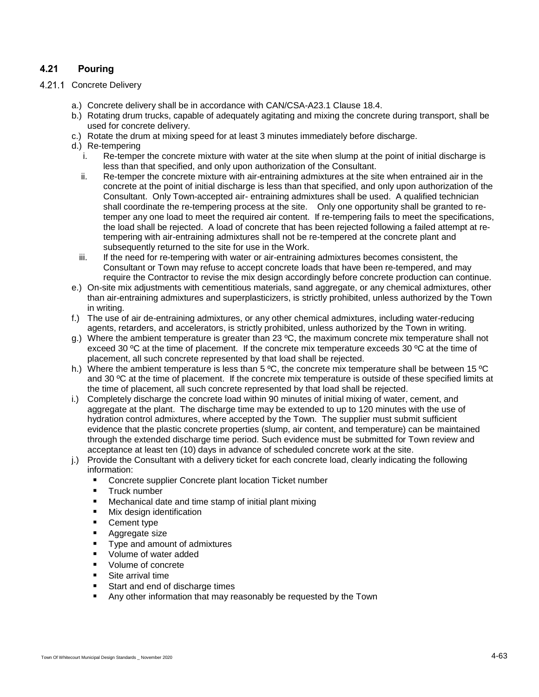# **4.21 Pouring**

#### <span id="page-8-0"></span>4.21.1 Concrete Delivery

- a.) Concrete delivery shall be in accordance with CAN/CSA-A23.1 Clause 18.4.
- b.) Rotating drum trucks, capable of adequately agitating and mixing the concrete during transport, shall be used for concrete delivery.
- c.) Rotate the drum at mixing speed for at least 3 minutes immediately before discharge.
- <span id="page-8-1"></span>d.) Re-tempering
	- i. Re-temper the concrete mixture with water at the site when slump at the point of initial discharge is less than that specified, and only upon authorization of the Consultant.
	- ii. Re-temper the concrete mixture with air-entraining admixtures at the site when entrained air in the concrete at the point of initial discharge is less than that specified, and only upon authorization of the Consultant. Only Town-accepted air- entraining admixtures shall be used. A qualified technician shall coordinate the re-tempering process at the site. Only one opportunity shall be granted to retemper any one load to meet the required air content. If re-tempering fails to meet the specifications, the load shall be rejected. A load of concrete that has been rejected following a failed attempt at retempering with air-entraining admixtures shall not be re-tempered at the concrete plant and subsequently returned to the site for use in the Work.
	- iii. If the need for re-tempering with water or air-entraining admixtures becomes consistent, the Consultant or Town may refuse to accept concrete loads that have been re-tempered, and may require the Contractor to revise the mix design accordingly before concrete production can continue.
- e.) On-site mix adjustments with cementitious materials, sand aggregate, or any chemical admixtures, other than air-entraining admixtures and superplasticizers, is strictly prohibited, unless authorized by the Town in writing.
- f.) The use of air de-entraining admixtures, or any other chemical admixtures, including water-reducing agents, retarders, and accelerators, is strictly prohibited, unless authorized by the Town in writing.
- g.) Where the ambient temperature is greater than 23  $^{\circ}$ C, the maximum concrete mix temperature shall not exceed 30 ºC at the time of placement. If the concrete mix temperature exceeds 30 ºC at the time of placement, all such concrete represented by that load shall be rejected.
- h.) Where the ambient temperature is less than 5 °C, the concrete mix temperature shall be between 15 °C and 30 °C at the time of placement. If the concrete mix temperature is outside of these specified limits at the time of placement, all such concrete represented by that load shall be rejected.
- i.) Completely discharge the concrete load within 90 minutes of initial mixing of water, cement, and aggregate at the plant. The discharge time may be extended to up to 120 minutes with the use of hydration control admixtures, where accepted by the Town. The supplier must submit sufficient evidence that the plastic concrete properties (slump, air content, and temperature) can be maintained through the extended discharge time period. Such evidence must be submitted for Town review and acceptance at least ten (10) days in advance of scheduled concrete work at the site.
- j.) Provide the Consultant with a delivery ticket for each concrete load, clearly indicating the following information:
	- Concrete supplier Concrete plant location Ticket number
	- **Truck number**
	- Mechanical date and time stamp of initial plant mixing
	- **Nix design identification**
	- **Cement type**
	- **Aggregate size**
	- **Type and amount of admixtures**
	- **Volume of water added**
	- Volume of concrete
	- **Site arrival time**
	- Start and end of discharge times
	- Any other information that may reasonably be requested by the Town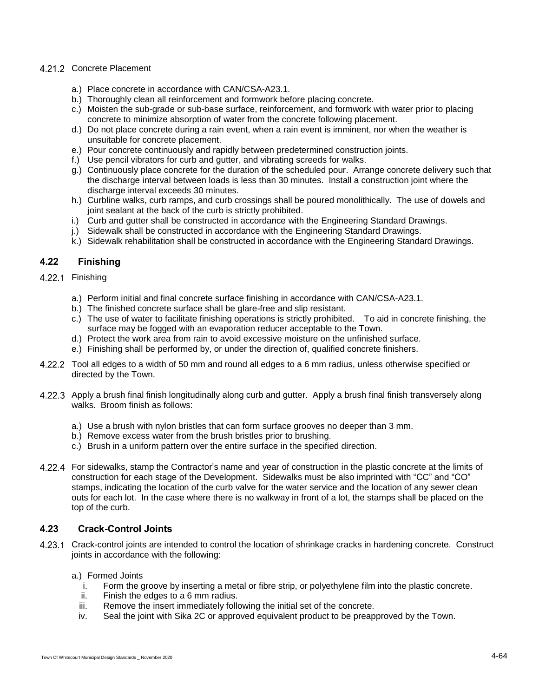# 4.21.2 Concrete Placement

- a.) Place concrete in accordance with CAN/CSA-A23.1.
- b.) Thoroughly clean all reinforcement and formwork before placing concrete.
- c.) Moisten the sub-grade or sub-base surface, reinforcement, and formwork with water prior to placing concrete to minimize absorption of water from the concrete following placement.
- d.) Do not place concrete during a rain event, when a rain event is imminent, nor when the weather is unsuitable for concrete placement.
- e.) Pour concrete continuously and rapidly between predetermined construction joints.
- f.) Use pencil vibrators for curb and gutter, and vibrating screeds for walks.
- g.) Continuously place concrete for the duration of the scheduled pour. Arrange concrete delivery such that the discharge interval between loads is less than 30 minutes. Install a construction joint where the discharge interval exceeds 30 minutes.
- h.) Curbline walks, curb ramps, and curb crossings shall be poured monolithically. The use of dowels and joint sealant at the back of the curb is strictly prohibited.
- i.) Curb and gutter shall be constructed in accordance with the Engineering Standard Drawings.
- j.) Sidewalk shall be constructed in accordance with the Engineering Standard Drawings.
- k.) Sidewalk rehabilitation shall be constructed in accordance with the Engineering Standard Drawings.

# **4.22 Finishing**

#### 4.22.1 Finishing

- a.) Perform initial and final concrete surface finishing in accordance with CAN/CSA-A23.1.
- b.) The finished concrete surface shall be glare-free and slip resistant.
- c.) The use of water to facilitate finishing operations is strictly prohibited. To aid in concrete finishing, the surface may be fogged with an evaporation reducer acceptable to the Town.
- d.) Protect the work area from rain to avoid excessive moisture on the unfinished surface.
- e.) Finishing shall be performed by, or under the direction of, qualified concrete finishers.
- Tool all edges to a width of 50 mm and round all edges to a 6 mm radius, unless otherwise specified or directed by the Town.
- 4.22.3 Apply a brush final finish longitudinally along curb and gutter. Apply a brush final finish transversely along walks. Broom finish as follows:
	- a.) Use a brush with nylon bristles that can form surface grooves no deeper than 3 mm.
	- b.) Remove excess water from the brush bristles prior to brushing.
	- c.) Brush in a uniform pattern over the entire surface in the specified direction.
- For sidewalks, stamp the Contractor's name and year of construction in the plastic concrete at the limits of construction for each stage of the Development. Sidewalks must be also imprinted with "CC" and "CO" stamps, indicating the location of the curb valve for the water service and the location of any sewer clean outs for each lot. In the case where there is no walkway in front of a lot, the stamps shall be placed on the top of the curb.

### **4.23 Crack-Control Joints**

- Crack-control joints are intended to control the location of shrinkage cracks in hardening concrete. Construct joints in accordance with the following:
	- a.) Formed Joints
		- i. Form the groove by inserting a metal or fibre strip, or polyethylene film into the plastic concrete.
		- ii. Finish the edges to a 6 mm radius.
		- iii. Remove the insert immediately following the initial set of the concrete.
		- iv. Seal the joint with Sika 2C or approved equivalent product to be preapproved by the Town.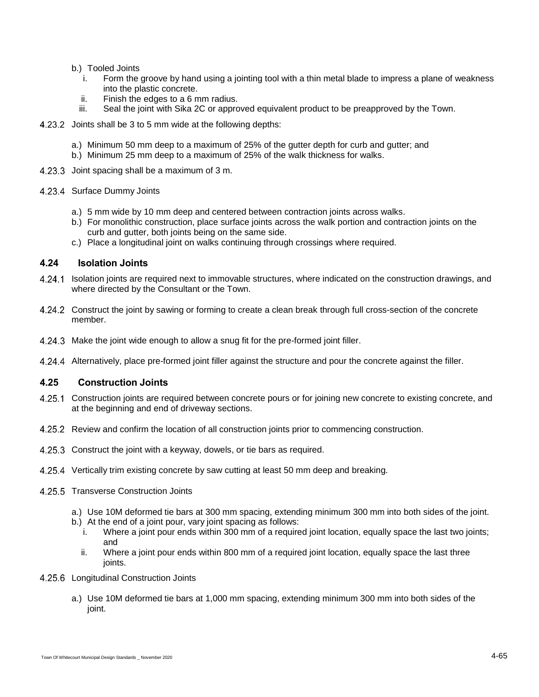- b.) Tooled Joints
	- i. Form the groove by hand using a jointing tool with a thin metal blade to impress a plane of weakness into the plastic concrete.
	- ii. Finish the edges to a 6 mm radius.
	- iii. Seal the joint with Sika 2C or approved equivalent product to be preapproved by the Town.
- 4.23.2 Joints shall be 3 to 5 mm wide at the following depths:
	- a.) Minimum 50 mm deep to a maximum of 25% of the gutter depth for curb and gutter; and
	- b.) Minimum 25 mm deep to a maximum of 25% of the walk thickness for walks.
- 4.23.3 Joint spacing shall be a maximum of 3 m.
- 4.23.4 Surface Dummy Joints
	- a.) 5 mm wide by 10 mm deep and centered between contraction joints across walks.
	- b.) For monolithic construction, place surface joints across the walk portion and contraction joints on the curb and gutter, both joints being on the same side.
	- c.) Place a longitudinal joint on walks continuing through crossings where required.

#### **4.24 Isolation Joints**

- Isolation joints are required next to immovable structures, where indicated on the construction drawings, and where directed by the Consultant or the Town.
- 4.24.2 Construct the joint by sawing or forming to create a clean break through full cross-section of the concrete member.
- 4.24.3 Make the joint wide enough to allow a snug fit for the pre-formed joint filler.
- Alternatively, place pre-formed joint filler against the structure and pour the concrete against the filler.

### **4.25 Construction Joints**

- 4.25.1 Construction joints are required between concrete pours or for joining new concrete to existing concrete, and at the beginning and end of driveway sections.
- 4.25.2 Review and confirm the location of all construction joints prior to commencing construction.
- 4.25.3 Construct the joint with a keyway, dowels, or tie bars as required.
- 4.25.4 Vertically trim existing concrete by saw cutting at least 50 mm deep and breaking.
- 4.25.5 Transverse Construction Joints
	- a.) Use 10M deformed tie bars at 300 mm spacing, extending minimum 300 mm into both sides of the joint.
	- b.) At the end of a joint pour, vary joint spacing as follows:
		- i. Where a joint pour ends within 300 mm of a required joint location, equally space the last two joints; and
		- ii. Where a joint pour ends within 800 mm of a required joint location, equally space the last three joints.
- 4.25.6 Longitudinal Construction Joints
	- a.) Use 10M deformed tie bars at 1,000 mm spacing, extending minimum 300 mm into both sides of the joint.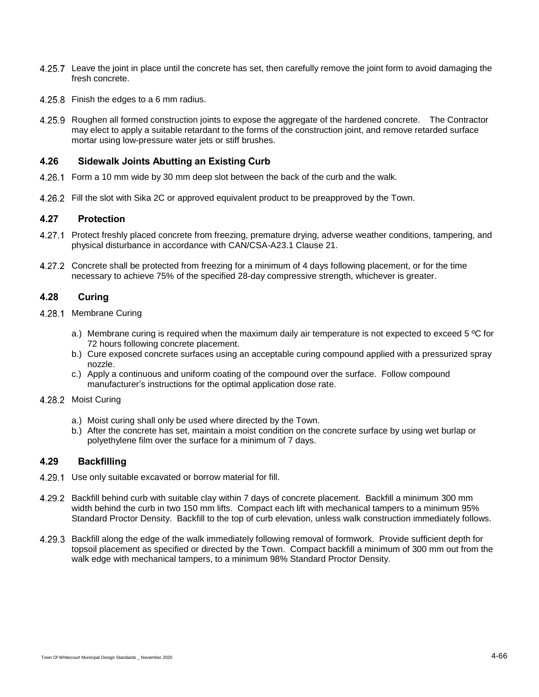- 4.25.7 Leave the joint in place until the concrete has set, then carefully remove the joint form to avoid damaging the fresh concrete.
- 4.25.8 Finish the edges to a 6 mm radius.
- 4.25.9 Roughen all formed construction joints to expose the aggregate of the hardened concrete. The Contractor may elect to apply a suitable retardant to the forms of the construction joint, and remove retarded surface mortar using low-pressure water jets or stiff brushes.

#### **4.26 Sidewalk Joints Abutting an Existing Curb**

- 4.26.1 Form a 10 mm wide by 30 mm deep slot between the back of the curb and the walk.
- 4.26.2 Fill the slot with Sika 2C or approved equivalent product to be preapproved by the Town.

### **4.27 Protection**

- 4.27.1 Protect freshly placed concrete from freezing, premature drying, adverse weather conditions, tampering, and physical disturbance in accordance with CAN/CSA-A23.1 Clause 21.
- 4.27.2 Concrete shall be protected from freezing for a minimum of 4 days following placement, or for the time necessary to achieve 75% of the specified 28-day compressive strength, whichever is greater.

# **4.28 Curing**

- 4.28.1 Membrane Curing
	- a.) Membrane curing is required when the maximum daily air temperature is not expected to exceed  $5 \degree C$  for 72 hours following concrete placement.
	- b.) Cure exposed concrete surfaces using an acceptable curing compound applied with a pressurized spray nozzle.
	- c.) Apply a continuous and uniform coating of the compound over the surface. Follow compound manufacturer's instructions for the optimal application dose rate.
- 4.28.2 Moist Curing
	- a.) Moist curing shall only be used where directed by the Town.
	- b.) After the concrete has set, maintain a moist condition on the concrete surface by using wet burlap or polyethylene film over the surface for a minimum of 7 days.

# **4.29 Backfilling**

- 4.29.1 Use only suitable excavated or borrow material for fill.
- 4.29.2 Backfill behind curb with suitable clay within 7 days of concrete placement. Backfill a minimum 300 mm width behind the curb in two 150 mm lifts. Compact each lift with mechanical tampers to a minimum 95% Standard Proctor Density. Backfill to the top of curb elevation, unless walk construction immediately follows.
- 4.29.3 Backfill along the edge of the walk immediately following removal of formwork. Provide sufficient depth for topsoil placement as specified or directed by the Town. Compact backfill a minimum of 300 mm out from the walk edge with mechanical tampers, to a minimum 98% Standard Proctor Density.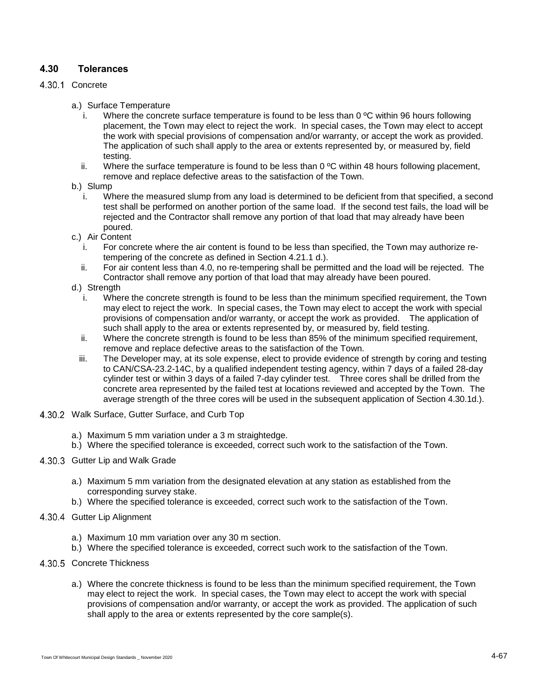# **4.30 Tolerances**

#### <span id="page-12-0"></span>4.30.1 Concrete

- a.) Surface Temperature
	- i. Where the concrete surface temperature is found to be less than  $0^{\circ}$ C within 96 hours following placement, the Town may elect to reject the work. In special cases, the Town may elect to accept the work with special provisions of compensation and/or warranty, or accept the work as provided. The application of such shall apply to the area or extents represented by, or measured by, field testing.
	- ii. Where the surface temperature is found to be less than  $0^{\circ}$ C within 48 hours following placement, remove and replace defective areas to the satisfaction of the Town.
- b.) Slump
	- i. Where the measured slump from any load is determined to be deficient from that specified, a second test shall be performed on another portion of the same load. If the second test fails, the load will be rejected and the Contractor shall remove any portion of that load that may already have been poured.
- c.) Air Content
	- i. For concrete where the air content is found to be less than specified, the Town may authorize retempering of the concrete as defined in Section [4.21.1](#page-8-0) [d.\).](#page-8-1)
	- ii. For air content less than 4.0, no re-tempering shall be permitted and the load will be rejected. The Contractor shall remove any portion of that load that may already have been poured.
- d.) Strength
	- i. Where the concrete strength is found to be less than the minimum specified requirement, the Town may elect to reject the work. In special cases, the Town may elect to accept the work with special provisions of compensation and/or warranty, or accept the work as provided. The application of such shall apply to the area or extents represented by, or measured by, field testing.
	- ii. Where the concrete strength is found to be less than 85% of the minimum specified requirement, remove and replace defective areas to the satisfaction of the Town.
	- iii. The Developer may, at its sole expense, elect to provide evidence of strength by coring and testing to CAN/CSA-23.2-14C, by a qualified independent testing agency, within 7 days of a failed 28-day cylinder test or within 3 days of a failed 7-day cylinder test. Three cores shall be drilled from the concrete area represented by the failed test at locations reviewed and accepted by the Town. The average strength of the three cores will be used in the subsequent application of Section [4.30.1d.\).](#page-12-0)
- 4.30.2 Walk Surface, Gutter Surface, and Curb Top
	- a.) Maximum 5 mm variation under a 3 m straightedge.
	- b.) Where the specified tolerance is exceeded, correct such work to the satisfaction of the Town.
- 4.30.3 Gutter Lip and Walk Grade
	- a.) Maximum 5 mm variation from the designated elevation at any station as established from the corresponding survey stake.
	- b.) Where the specified tolerance is exceeded, correct such work to the satisfaction of the Town.
- 4.30.4 Gutter Lip Alignment
	- a.) Maximum 10 mm variation over any 30 m section.
	- b.) Where the specified tolerance is exceeded, correct such work to the satisfaction of the Town.
- 4.30.5 Concrete Thickness
	- a.) Where the concrete thickness is found to be less than the minimum specified requirement, the Town may elect to reject the work. In special cases, the Town may elect to accept the work with special provisions of compensation and/or warranty, or accept the work as provided. The application of such shall apply to the area or extents represented by the core sample(s).